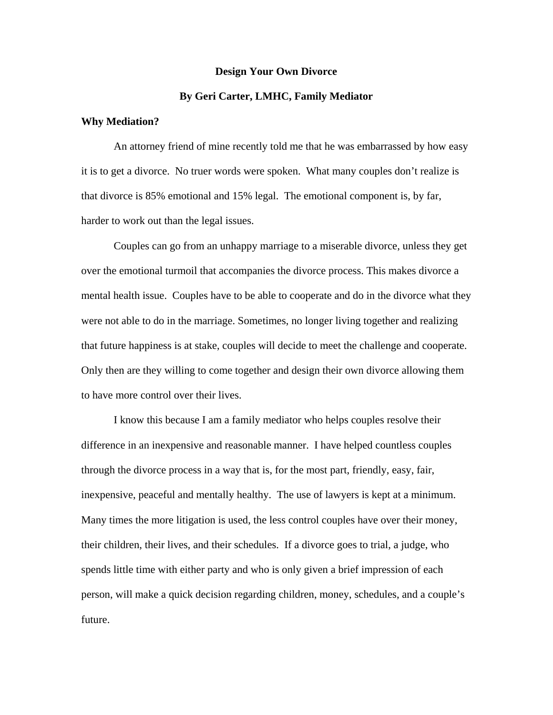## **Design Your Own Divorce**

## **By Geri Carter, LMHC, Family Mediator**

## **Why Mediation?**

 An attorney friend of mine recently told me that he was embarrassed by how easy it is to get a divorce. No truer words were spoken. What many couples don't realize is that divorce is 85% emotional and 15% legal. The emotional component is, by far, harder to work out than the legal issues.

 Couples can go from an unhappy marriage to a miserable divorce, unless they get over the emotional turmoil that accompanies the divorce process. This makes divorce a mental health issue. Couples have to be able to cooperate and do in the divorce what they were not able to do in the marriage. Sometimes, no longer living together and realizing that future happiness is at stake, couples will decide to meet the challenge and cooperate. Only then are they willing to come together and design their own divorce allowing them to have more control over their lives.

 I know this because I am a family mediator who helps couples resolve their difference in an inexpensive and reasonable manner. I have helped countless couples through the divorce process in a way that is, for the most part, friendly, easy, fair, inexpensive, peaceful and mentally healthy. The use of lawyers is kept at a minimum. Many times the more litigation is used, the less control couples have over their money, their children, their lives, and their schedules. If a divorce goes to trial, a judge, who spends little time with either party and who is only given a brief impression of each person, will make a quick decision regarding children, money, schedules, and a couple's future.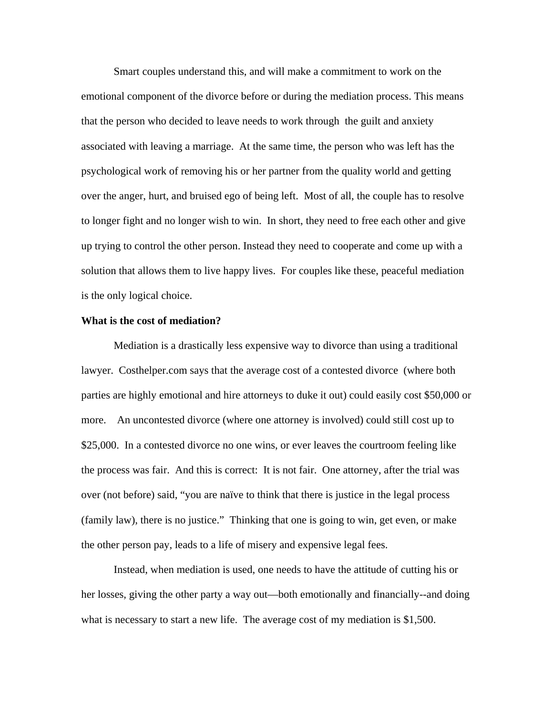Smart couples understand this, and will make a commitment to work on the emotional component of the divorce before or during the mediation process. This means that the person who decided to leave needs to work through the guilt and anxiety associated with leaving a marriage. At the same time, the person who was left has the psychological work of removing his or her partner from the quality world and getting over the anger, hurt, and bruised ego of being left. Most of all, the couple has to resolve to longer fight and no longer wish to win. In short, they need to free each other and give up trying to control the other person. Instead they need to cooperate and come up with a solution that allows them to live happy lives. For couples like these, peaceful mediation is the only logical choice.

#### **What is the cost of mediation?**

Mediation is a drastically less expensive way to divorce than using a traditional lawyer. Costhelper.com says that the average cost of a contested divorce (where both parties are highly emotional and hire attorneys to duke it out) could easily cost \$50,000 or more. An uncontested divorce (where one attorney is involved) could still cost up to \$25,000. In a contested divorce no one wins, or ever leaves the courtroom feeling like the process was fair. And this is correct: It is not fair. One attorney, after the trial was over (not before) said, "you are naïve to think that there is justice in the legal process (family law), there is no justice." Thinking that one is going to win, get even, or make the other person pay, leads to a life of misery and expensive legal fees.

Instead, when mediation is used, one needs to have the attitude of cutting his or her losses, giving the other party a way out—both emotionally and financially--and doing what is necessary to start a new life. The average cost of my mediation is \$1,500.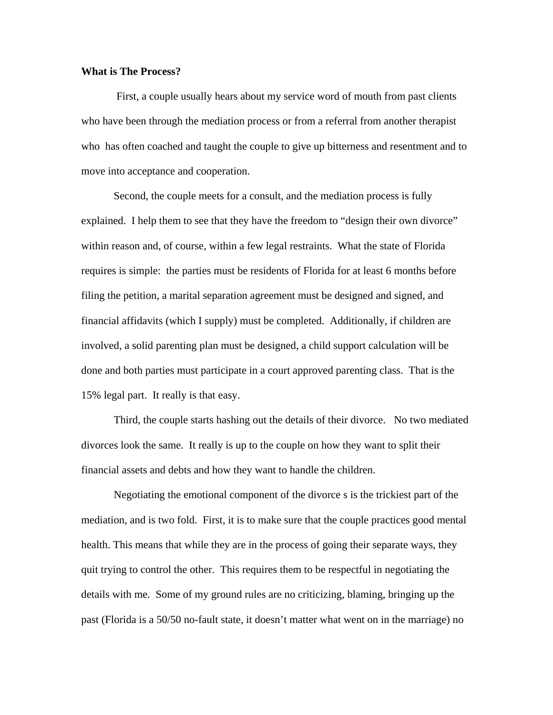# **What is The Process?**

 First, a couple usually hears about my service word of mouth from past clients who have been through the mediation process or from a referral from another therapist who has often coached and taught the couple to give up bitterness and resentment and to move into acceptance and cooperation.

 Second, the couple meets for a consult, and the mediation process is fully explained. I help them to see that they have the freedom to "design their own divorce" within reason and, of course, within a few legal restraints. What the state of Florida requires is simple: the parties must be residents of Florida for at least 6 months before filing the petition, a marital separation agreement must be designed and signed, and financial affidavits (which I supply) must be completed. Additionally, if children are involved, a solid parenting plan must be designed, a child support calculation will be done and both parties must participate in a court approved parenting class. That is the 15% legal part. It really is that easy.

 Third, the couple starts hashing out the details of their divorce. No two mediated divorces look the same. It really is up to the couple on how they want to split their financial assets and debts and how they want to handle the children.

Negotiating the emotional component of the divorce s is the trickiest part of the mediation, and is two fold. First, it is to make sure that the couple practices good mental health. This means that while they are in the process of going their separate ways, they quit trying to control the other. This requires them to be respectful in negotiating the details with me. Some of my ground rules are no criticizing, blaming, bringing up the past (Florida is a 50/50 no-fault state, it doesn't matter what went on in the marriage) no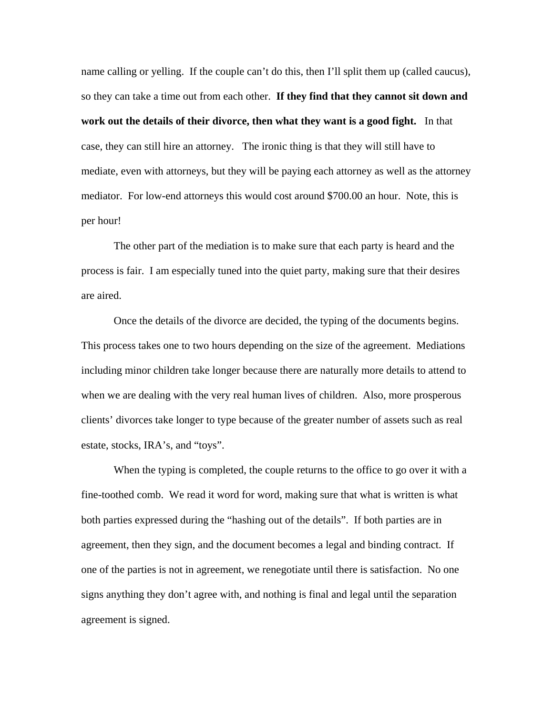name calling or yelling. If the couple can't do this, then I'll split them up (called caucus), so they can take a time out from each other. **If they find that they cannot sit down and work out the details of their divorce, then what they want is a good fight.** In that case, they can still hire an attorney. The ironic thing is that they will still have to mediate, even with attorneys, but they will be paying each attorney as well as the attorney mediator. For low-end attorneys this would cost around \$700.00 an hour. Note, this is per hour!

The other part of the mediation is to make sure that each party is heard and the process is fair. I am especially tuned into the quiet party, making sure that their desires are aired.

Once the details of the divorce are decided, the typing of the documents begins. This process takes one to two hours depending on the size of the agreement. Mediations including minor children take longer because there are naturally more details to attend to when we are dealing with the very real human lives of children. Also, more prosperous clients' divorces take longer to type because of the greater number of assets such as real estate, stocks, IRA's, and "toys".

When the typing is completed, the couple returns to the office to go over it with a fine-toothed comb. We read it word for word, making sure that what is written is what both parties expressed during the "hashing out of the details". If both parties are in agreement, then they sign, and the document becomes a legal and binding contract. If one of the parties is not in agreement, we renegotiate until there is satisfaction. No one signs anything they don't agree with, and nothing is final and legal until the separation agreement is signed.